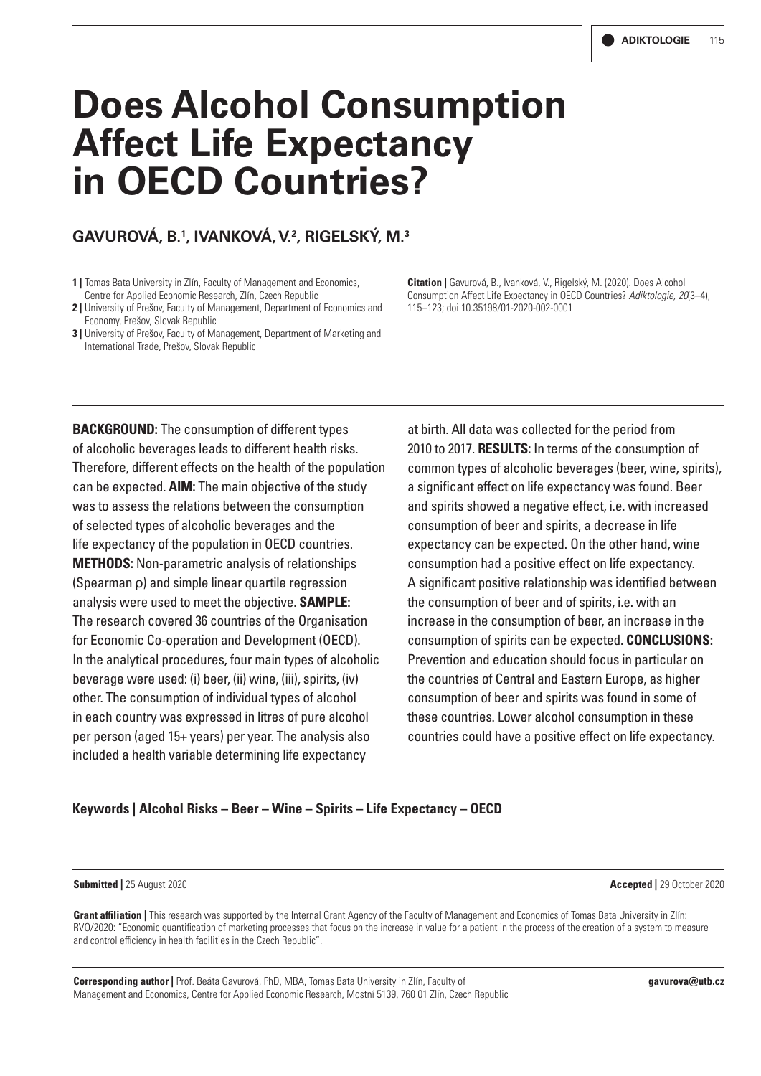# **Does Alcohol Consumption Affect Life Expectancy in OECD Countries?**

### **GAVUROVÁ, B.1 , IVANKOVÁ, V.2 , RIGELSKÝ, M.3**

- **1 |** Tomas Bata University in Zlín, Faculty of Management and Economics, Centre for Applied Economic Research, Zlín, Czech Republic
- **2 |** University of Prešov, Faculty of Management, Department of Economics and Economy, Prešov, Slovak Republic
- **3 | University of Prešov, Faculty of Management, Department of Marketing and** International Trade, Prešov, Slovak Republic

**Citation |** Gavurová, B., Ivanková, V., Rigelský, M. (2020). Does Alcohol Consumption Affect Life Expectancy in OECD Countries? *Adiktologie, 20*(3–4), 115–123; doi 10.35198/01-2020-002-0001

**BACKGROUND:** The consumption of different types of alcoholic beverages leads to different health risks. Therefore, different effects on the health of the population can be expected. **AIM:** The main objective of the study was to assess the relations between the consumption of selected types of alcoholic beverages and the life expectancy of the population in OECD countries. **METHODS:** Non-parametric analysis of relationships (Spearman ρ) and simple linear quartile regression analysis were used to meet the objective. **SAMPLE:** The research covered 36 countries of the Organisation for Economic Co-operation and Development (OECD). In the analytical procedures, four main types of alcoholic beverage were used: (i) beer, (ii) wine, (iii), spirits, (iv) other. The consumption of individual types of alcohol in each country was expressed in litres of pure alcohol per person (aged 15+ years) per year. The analysis also included a health variable determining life expectancy

at birth. All data was collected for the period from 2010 to 2017. **RESULTS:** In terms of the consumption of common types of alcoholic beverages (beer, wine, spirits), a significant effect on life expectancy was found. Beer and spirits showed a negative effect, i.e. with increased consumption of beer and spirits, a decrease in life expectancy can be expected. On the other hand, wine consumption had a positive effect on life expectancy. A significant positive relationship was identified between the consumption of beer and of spirits, i.e. with an increase in the consumption of beer, an increase in the consumption of spirits can be expected. **CONCLUSIONS:** Prevention and education should focus in particular on the countries of Central and Eastern Europe, as higher consumption of beer and spirits was found in some of these countries. Lower alcohol consumption in these countries could have a positive effect on life expectancy.

#### **Keywords | Alcohol Risks – Beer – Wine – Spirits – Life Expectancy – OECD**

#### **Submitted |** 25 August 2020 **Accepted |** 29 October 2020

**Grant affiliation |** This research was supported by the Internal Grant Agency of the Faculty of Management and Economics of Tomas Bata University in Zlín: RVO/2020: "Economic quantification of marketing processes that focus on the increase in value for a patient in the process of the creation of a system to measure and control efficiency in health facilities in the Czech Republic".

**Corresponding author |** Prof. Beáta Gavurová, PhD, MBA, Tomas Bata University in Zlín, Faculty of Management and Economics, Centre for Applied Economic Research, Mostní 5139, 760 01 Zlín, Czech Republic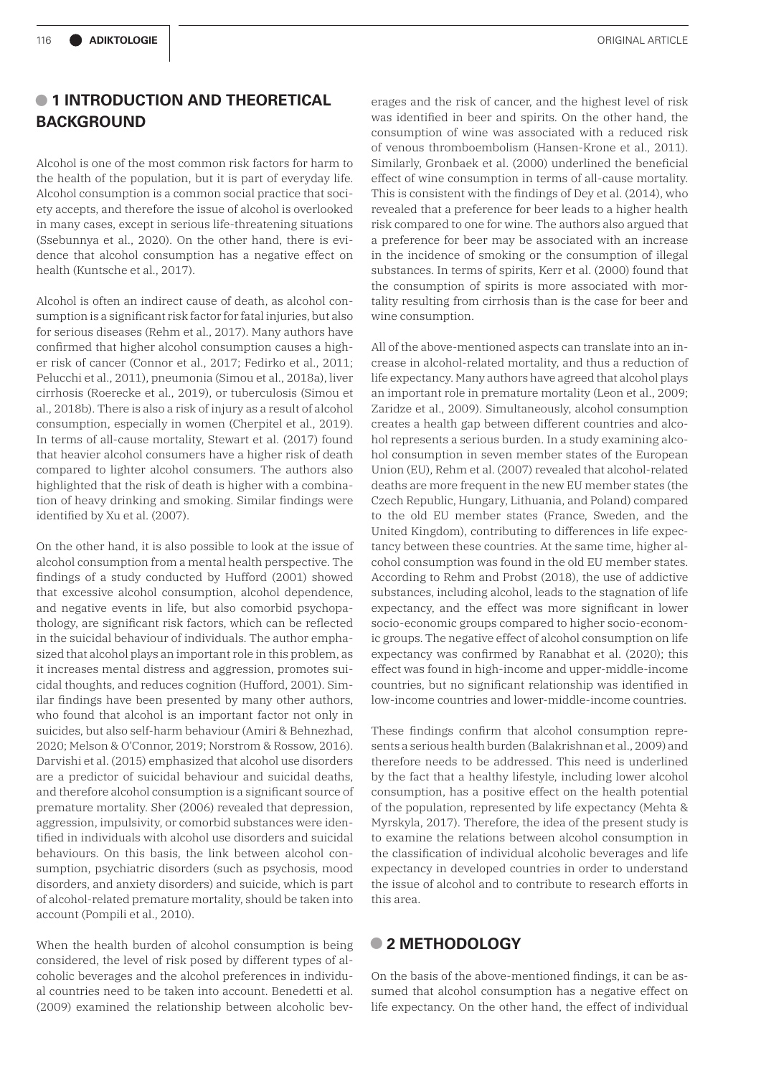## **• 1 INTRODUCTION AND THEORETICAL BACKGROUND**

Alcohol is one of the most common risk factors for harm to the health of the population, but it is part of everyday life. Alcohol consumption is a common social practice that society accepts, and therefore the issue of alcohol is overlooked in many cases, except in serious life-threatening situations (Ssebunnya et al., 2020). On the other hand, there is evidence that alcohol consumption has a negative effect on health (Kuntsche et al., 2017).

Alcohol is often an indirect cause of death, as alcohol consumption is a significant risk factor for fatal injuries, but also for serious diseases (Rehm et al., 2017). Many authors have confirmed that higher alcohol consumption causes a higher risk of cancer (Connor et al., 2017; Fedirko et al., 2011; Pelucchi et al., 2011), pneumonia (Simou et al., 2018a), liver cirrhosis (Roerecke et al., 2019), or tuberculosis (Simou et al., 2018b). There is also a risk of injury as a result of alcohol consumption, especially in women (Cherpitel et al., 2019). In terms of all-cause mortality, Stewart et al. (2017) found that heavier alcohol consumers have a higher risk of death compared to lighter alcohol consumers. The authors also highlighted that the risk of death is higher with a combination of heavy drinking and smoking. Similar findings were identified by Xu et al. (2007).

On the other hand, it is also possible to look at the issue of alcohol consumption from a mental health perspective. The findings of a study conducted by Hufford (2001) showed that excessive alcohol consumption, alcohol dependence, and negative events in life, but also comorbid psychopathology, are significant risk factors, which can be reflected in the suicidal behaviour of individuals. The author emphasized that alcohol plays an important role in this problem, as it increases mental distress and aggression, promotes suicidal thoughts, and reduces cognition (Hufford, 2001). Similar findings have been presented by many other authors, who found that alcohol is an important factor not only in suicides, but also self-harm behaviour (Amiri & Behnezhad, 2020; Melson & O'Connor, 2019; Norstrom & Rossow, 2016). Darvishi et al. (2015) emphasized that alcohol use disorders are a predictor of suicidal behaviour and suicidal deaths, and therefore alcohol consumption is a significant source of premature mortality. Sher (2006) revealed that depression, aggression, impulsivity, or comorbid substances were identified in individuals with alcohol use disorders and suicidal behaviours. On this basis, the link between alcohol consumption, psychiatric disorders (such as psychosis, mood disorders, and anxiety disorders) and suicide, which is part of alcohol-related premature mortality, should be taken into account (Pompili et al., 2010).

When the health burden of alcohol consumption is being considered, the level of risk posed by different types of alcoholic beverages and the alcohol preferences in individual countries need to be taken into account. Benedetti et al. (2009) examined the relationship between alcoholic bev-

erages and the risk of cancer, and the highest level of risk was identified in beer and spirits. On the other hand, the consumption of wine was associated with a reduced risk of venous thromboembolism (Hansen-Krone et al., 2011). Similarly, Gronbaek et al. (2000) underlined the beneficial effect of wine consumption in terms of all-cause mortality. This is consistent with the findings of Dey et al. (2014), who revealed that a preference for beer leads to a higher health risk compared to one for wine. The authors also argued that a preference for beer may be associated with an increase in the incidence of smoking or the consumption of illegal substances. In terms of spirits, Kerr et al. (2000) found that the consumption of spirits is more associated with mortality resulting from cirrhosis than is the case for beer and wine consumption.

All of the above-mentioned aspects can translate into an increase in alcohol-related mortality, and thus a reduction of life expectancy. Many authors have agreed that alcohol plays an important role in premature mortality (Leon et al., 2009; Zaridze et al., 2009). Simultaneously, alcohol consumption creates a health gap between different countries and alcohol represents a serious burden. In a study examining alcohol consumption in seven member states of the European Union (EU), Rehm et al. (2007) revealed that alcohol-related deaths are more frequent in the new EU member states (the Czech Republic, Hungary, Lithuania, and Poland) compared to the old EU member states (France, Sweden, and the United Kingdom), contributing to differences in life expectancy between these countries. At the same time, higher alcohol consumption was found in the old EU member states. According to Rehm and Probst (2018), the use of addictive substances, including alcohol, leads to the stagnation of life expectancy, and the effect was more significant in lower socio-economic groups compared to higher socio-economic groups. The negative effect of alcohol consumption on life expectancy was confirmed by Ranabhat et al. (2020); this effect was found in high-income and upper-middle-income countries, but no significant relationship was identified in low-income countries and lower-middle-income countries.

These findings confirm that alcohol consumption represents a serious health burden (Balakrishnan et al., 2009) and therefore needs to be addressed. This need is underlined by the fact that a healthy lifestyle, including lower alcohol consumption, has a positive effect on the health potential of the population, represented by life expectancy (Mehta & Myrskyla, 2017). Therefore, the idea of the present study is to examine the relations between alcohol consumption in the classification of individual alcoholic beverages and life expectancy in developed countries in order to understand the issue of alcohol and to contribute to research efforts in this area.

#### **• 2 METHODOLOGY**

On the basis of the above-mentioned findings, it can be assumed that alcohol consumption has a negative effect on life expectancy. On the other hand, the effect of individual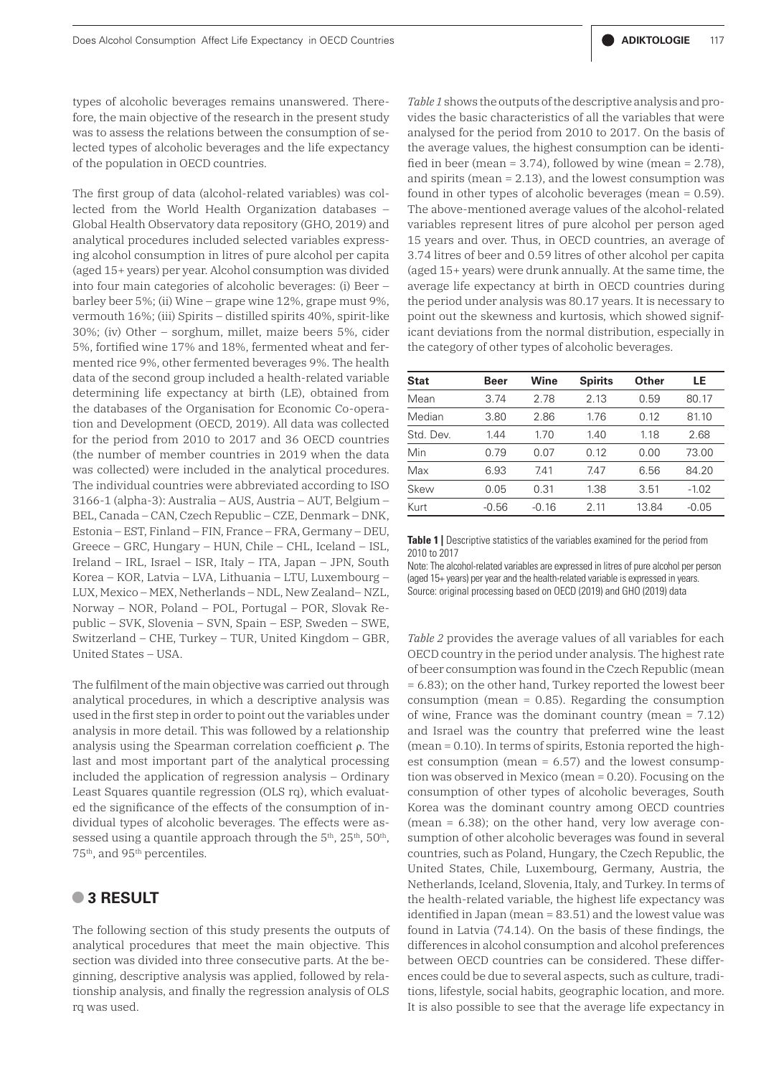types of alcoholic beverages remains unanswered. Therefore, the main objective of the research in the present study was to assess the relations between the consumption of selected types of alcoholic beverages and the life expectancy of the population in OECD countries.

The first group of data (alcohol-related variables) was collected from the World Health Organization databases – Global Health Observatory data repository (GHO, 2019) and analytical procedures included selected variables expressing alcohol consumption in litres of pure alcohol per capita (aged 15+ years) per year. Alcohol consumption was divided into four main categories of alcoholic beverages: (i) Beer – barley beer 5%; (ii) Wine – grape wine 12%, grape must 9%, vermouth 16%; (iii) Spirits – distilled spirits 40%, spirit-like 30%; (iv) Other – sorghum, millet, maize beers 5%, cider 5%, fortified wine 17% and 18%, fermented wheat and fermented rice 9%, other fermented beverages 9%. The health data of the second group included a health-related variable determining life expectancy at birth (LE), obtained from the databases of the Organisation for Economic Co-operation and Development (OECD, 2019). All data was collected for the period from 2010 to 2017 and 36 OECD countries (the number of member countries in 2019 when the data was collected) were included in the analytical procedures. The individual countries were abbreviated according to ISO 3166-1 (alpha-3): Australia – AUS, Austria – AUT, Belgium – BEL, Canada – CAN, Czech Republic – CZE, Denmark – DNK, Estonia – EST, Finland – FIN, France – FRA, Germany – DEU, Greece – GRC, Hungary – HUN, Chile – CHL, Iceland – ISL, Ireland – IRL, Israel – ISR, Italy – ITA, Japan – JPN, South Korea – KOR, Latvia – LVA, Lithuania – LTU, Luxembourg – LUX, Mexico – MEX, Netherlands – NDL, New Zealand– NZL, Norway – NOR, Poland – POL, Portugal – POR, Slovak Republic – SVK, Slovenia – SVN, Spain – ESP, Sweden – SWE, Switzerland – CHE, Turkey – TUR, United Kingdom – GBR, United States – USA.

The fulfilment of the main objective was carried out through analytical procedures, in which a descriptive analysis was used in the first step in order to point out the variables under analysis in more detail. This was followed by a relationship analysis using the Spearman correlation coefficient ρ. The last and most important part of the analytical processing included the application of regression analysis – Ordinary Least Squares quantile regression (OLS rq), which evaluated the significance of the effects of the consumption of individual types of alcoholic beverages. The effects were assessed using a quantile approach through the  $5<sup>th</sup>$ ,  $25<sup>th</sup>$ ,  $50<sup>th</sup>$ , 75<sup>th</sup>, and 95<sup>th</sup> percentiles.

### **• 3 RESULT**

The following section of this study presents the outputs of analytical procedures that meet the main objective. This section was divided into three consecutive parts. At the beginning, descriptive analysis was applied, followed by relationship analysis, and finally the regression analysis of OLS rq was used.

*Table 1* shows the outputs of the descriptive analysis and provides the basic characteristics of all the variables that were analysed for the period from 2010 to 2017. On the basis of the average values, the highest consumption can be identified in beer (mean =  $3.74$ ), followed by wine (mean =  $2.78$ ), and spirits (mean = 2.13), and the lowest consumption was found in other types of alcoholic beverages (mean = 0.59). The above-mentioned average values of the alcohol-related variables represent litres of pure alcohol per person aged 15 years and over. Thus, in OECD countries, an average of 3.74 litres of beer and 0.59 litres of other alcohol per capita (aged 15+ years) were drunk annually. At the same time, the average life expectancy at birth in OECD countries during the period under analysis was 80.17 years. It is necessary to point out the skewness and kurtosis, which showed significant deviations from the normal distribution, especially in the category of other types of alcoholic beverages.

| <b>Stat</b> | <b>Beer</b>        | Wine | <b>Spirits</b> | Other | LE      |  |
|-------------|--------------------|------|----------------|-------|---------|--|
| Mean        | 3.74               | 2.78 | 2.13           | 0.59  | 80.17   |  |
| Median      | 3.80               | 2.86 | 1.76           | 0.12  | 81.10   |  |
| Std. Dev.   | 1.44               | 1.70 | 1.40           | 1.18  | 2.68    |  |
| Min         | 0.79               | 0.07 | 0.12           | 0.00  | 73.00   |  |
| Max         | 6.93               | 7.41 | 7.47           | 6.56  | 84.20   |  |
| Skew        | 0.05               | 0.31 | 1.38<br>3.51   |       | $-1.02$ |  |
| Kurt        | $-0.56$<br>$-0.16$ |      | 2.11           | 13.84 | $-0.05$ |  |

**Table 1** Descriptive statistics of the variables examined for the period from 2010 to 2017

Note: The alcohol-related variables are expressed in litres of pure alcohol per person (aged 15+ years) per year and the health-related variable is expressed in years. Source: original processing based on OECD (2019) and GHO (2019) data

*Table 2* provides the average values of all variables for each OECD country in the period under analysis. The highest rate of beer consumption was found in the Czech Republic (mean = 6.83); on the other hand, Turkey reported the lowest beer consumption (mean = 0.85). Regarding the consumption of wine, France was the dominant country (mean  $= 7.12$ ) and Israel was the country that preferred wine the least (mean = 0.10). In terms of spirits, Estonia reported the highest consumption (mean = 6.57) and the lowest consumption was observed in Mexico (mean = 0.20). Focusing on the consumption of other types of alcoholic beverages, South Korea was the dominant country among OECD countries (mean = 6.38); on the other hand, very low average consumption of other alcoholic beverages was found in several countries, such as Poland, Hungary, the Czech Republic, the United States, Chile, Luxembourg, Germany, Austria, the Netherlands, Iceland, Slovenia, Italy, and Turkey. In terms of the health-related variable, the highest life expectancy was identified in Japan (mean = 83.51) and the lowest value was found in Latvia (74.14). On the basis of these findings, the differences in alcohol consumption and alcohol preferences between OECD countries can be considered. These differences could be due to several aspects, such as culture, traditions, lifestyle, social habits, geographic location, and more. It is also possible to see that the average life expectancy in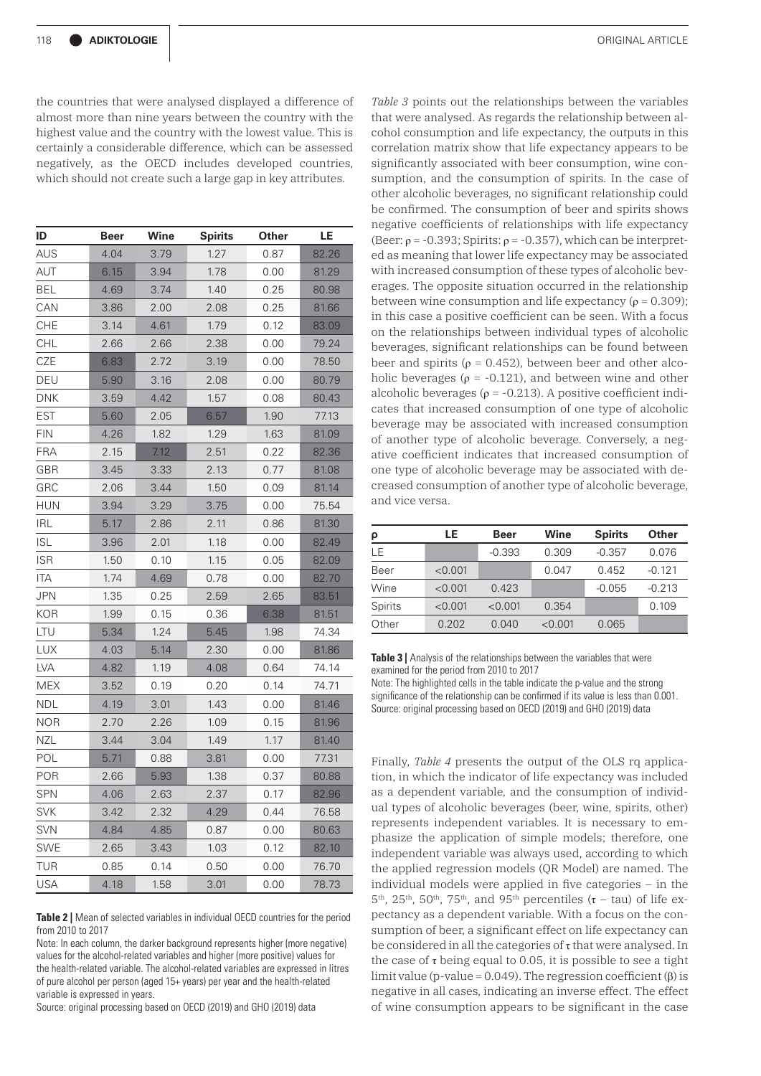the countries that were analysed displayed a difference of almost more than nine years between the country with the highest value and the country with the lowest value. This is certainly a considerable difference, which can be assessed negatively, as the OECD includes developed countries, which should not create such a large gap in key attributes.

| ID         | <b>Beer</b> | Wine | <b>Spirits</b> | Other | LE    |  |
|------------|-------------|------|----------------|-------|-------|--|
| AUS        | 4.04        | 3.79 | 1.27           | 0.87  | 82.26 |  |
| AUT        | 6.15        | 3.94 | 1.78           | 0.00  | 81.29 |  |
| BEL        | 4.69        | 3.74 | 1.40           | 0.25  | 80.98 |  |
| CAN        | 3.86        | 2.00 | 2.08           | 0.25  | 81.66 |  |
| <b>CHE</b> | 3.14        | 4.61 | 1.79           | 0.12  | 83.09 |  |
| CHL        | 2.66        | 2.66 | 2.38           | 0.00  | 79.24 |  |
| CZE        | 6.83        | 2.72 | 3.19           | 0.00  | 78.50 |  |
| DEU        | 5.90        | 3.16 | 2.08           | 0.00  | 80.79 |  |
| <b>DNK</b> | 3.59        | 4.42 | 1.57           | 0.08  | 80.43 |  |
| <b>EST</b> | 5.60        | 2.05 | 6.57           | 1.90  | 77.13 |  |
| <b>FIN</b> | 4.26        | 1.82 | 1.29           | 1.63  | 81.09 |  |
| <b>FRA</b> | 2.15        | 7.12 | 2.51           | 0.22  | 82.36 |  |
| <b>GBR</b> | 3.45        | 3.33 | 2.13           | 0.77  | 81.08 |  |
| GRC        | 2.06        | 3.44 | 1.50           | 0.09  | 81.14 |  |
| <b>HUN</b> | 3.94        | 3.29 | 3.75           | 0.00  | 75.54 |  |
| <b>IRL</b> | 5.17        | 2.86 | 2.11           | 0.86  | 81.30 |  |
| <b>ISL</b> | 3.96        | 2.01 | 1.18           | 0.00  | 82.49 |  |
| <b>ISR</b> | 1.50        | 0.10 | 1.15           | 0.05  | 82.09 |  |
| ITA        | 1.74        | 4.69 | 0.78           | 0.00  | 82.70 |  |
| JPN        | 1.35        | 0.25 | 2.59           | 2.65  | 83.51 |  |
| <b>KOR</b> | 1.99        | 0.15 | 0.36           | 6.38  | 81.51 |  |
| LTU        | 5.34        | 1.24 | 5.45           | 1.98  | 74.34 |  |
| LUX        | 4.03        | 5.14 | 2.30           | 0.00  | 81.86 |  |
| <b>LVA</b> | 4.82        | 1.19 | 4.08           | 0.64  | 74.14 |  |
| <b>MEX</b> | 3.52        | 0.19 | 0.20           | 0.14  | 74.71 |  |
| <b>NDL</b> | 4.19        | 3.01 | 1.43           | 0.00  | 81.46 |  |
| <b>NOR</b> | 2.70        | 2.26 | 1.09           | 0.15  | 81.96 |  |
| <b>NZL</b> | 3.44        | 3.04 | 1.49           | 1.17  | 81.40 |  |
| POL        | 5.71        | 0.88 | 3.81           | 0.00  | 77.31 |  |
| <b>POR</b> | 2.66        | 5.93 | 1.38           | 0.37  | 80.88 |  |
| <b>SPN</b> | 4.06        | 2.63 | 2.37           | 0.17  | 82.96 |  |
| <b>SVK</b> | 3.42        | 2.32 | 4.29           | 0.44  | 76.58 |  |
| <b>SVN</b> | 4.84        | 4.85 | 0.87           | 0.00  | 80.63 |  |
| <b>SWE</b> | 2.65        | 3.43 | 1.03           | 0.12  | 82.10 |  |
| TUR        | 0.85        | 0.14 | 0.50           | 0.00  | 76.70 |  |
| <b>USA</b> | 4.18        | 1.58 | 3.01           | 0.00  | 78.73 |  |

**Table 2** | Mean of selected variables in individual OECD countries for the period from 2010 to 2017

Note: In each column, the darker background represents higher (more negative) values for the alcohol-related variables and higher (more positive) values for the health-related variable. The alcohol-related variables are expressed in litres of pure alcohol per person (aged 15+ years) per year and the health-related variable is expressed in years.

Source: original processing based on OECD (2019) and GHO (2019) data

*Table 3* points out the relationships between the variables that were analysed. As regards the relationship between alcohol consumption and life expectancy, the outputs in this correlation matrix show that life expectancy appears to be significantly associated with beer consumption, wine consumption, and the consumption of spirits. In the case of other alcoholic beverages, no significant relationship could be confirmed. The consumption of beer and spirits shows negative coefficients of relationships with life expectancy (Beer:  $\rho$  = -0.393; Spirits:  $\rho$  = -0.357), which can be interpreted as meaning that lower life expectancy may be associated with increased consumption of these types of alcoholic beverages. The opposite situation occurred in the relationship between wine consumption and life expectancy ( $\rho = 0.309$ ); in this case a positive coefficient can be seen. With a focus on the relationships between individual types of alcoholic beverages, significant relationships can be found between beer and spirits ( $\rho = 0.452$ ), between beer and other alcoholic beverages ( $\rho$  = -0.121), and between wine and other alcoholic beverages ( $\rho$  = -0.213). A positive coefficient indicates that increased consumption of one type of alcoholic beverage may be associated with increased consumption of another type of alcoholic beverage. Conversely, a negative coefficient indicates that increased consumption of one type of alcoholic beverage may be associated with decreased consumption of another type of alcoholic beverage, and vice versa.

| ρ       | LE      | <b>Beer</b> | Wine    | <b>Spirits</b> | Other    |  |
|---------|---------|-------------|---------|----------------|----------|--|
| ΙF      |         | $-0.393$    | 0.309   | $-0.357$       | 0.076    |  |
| Beer    | < 0.001 | 0.047       |         | 0.452          | $-0.121$ |  |
| Wine    | < 0.001 | 0.423       |         | $-0.055$       | $-0.213$ |  |
| Spirits | < 0.001 | < 0.001     | 0.354   |                | 0.109    |  |
| Other   | 0.202   | 0.040       | < 0.001 | 0.065          |          |  |

**Table 3** | Analysis of the relationships between the variables that were examined for the period from 2010 to 2017

Note: The highlighted cells in the table indicate the p-value and the strong significance of the relationship can be confirmed if its value is less than 0.001. Source: original processing based on OECD (2019) and GHO (2019) data

Finally, *Table 4* presents the output of the OLS rq application, in which the indicator of life expectancy was included as a dependent variable, and the consumption of individual types of alcoholic beverages (beer, wine, spirits, other) represents independent variables. It is necessary to emphasize the application of simple models; therefore, one independent variable was always used, according to which the applied regression models (QR Model) are named. The individual models were applied in five categories – in the  $5<sup>th</sup>$ ,  $25<sup>th</sup>$ ,  $50<sup>th</sup>$ ,  $75<sup>th</sup>$ , and  $95<sup>th</sup>$  percentiles ( $\tau$  – tau) of life expectancy as a dependent variable. With a focus on the consumption of beer, a significant effect on life expectancy can be considered in all the categories of  $\tau$  that were analysed. In the case of  $\tau$  being equal to 0.05, it is possible to see a tight limit value (p-value = 0.049). The regression coefficient  $(\beta)$  is negative in all cases, indicating an inverse effect. The effect of wine consumption appears to be significant in the case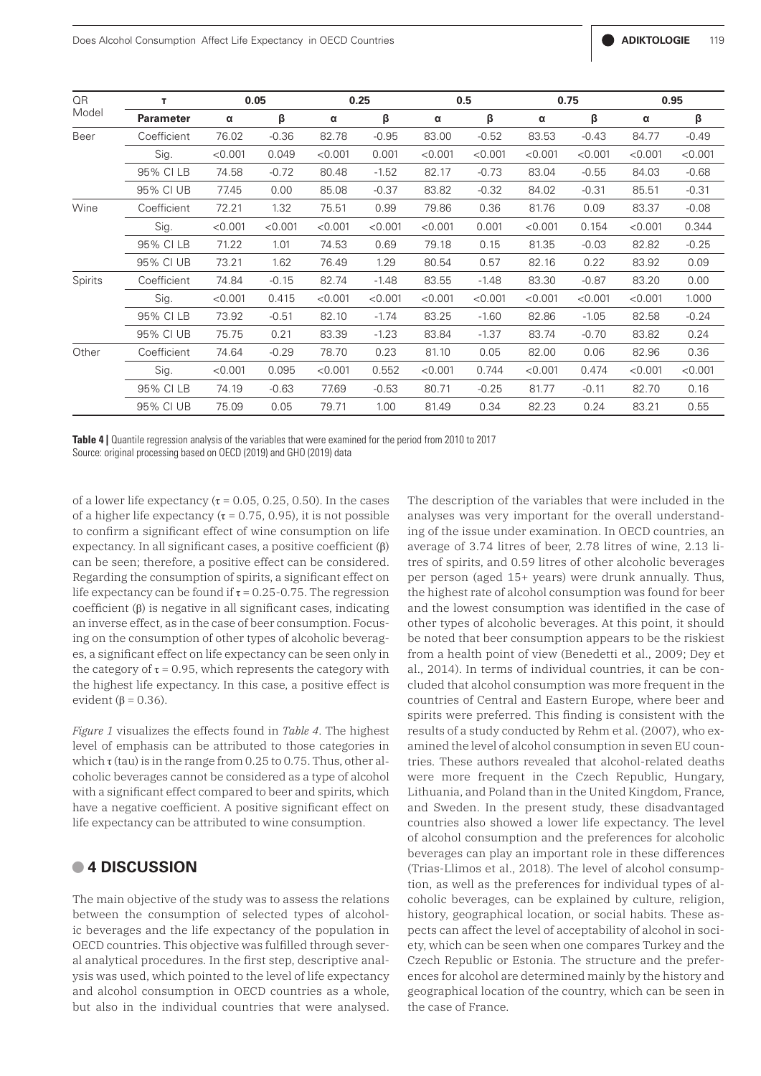| QR<br>Model | т                | 0.05    |         | 0.25           |         | 0.5     |         | 0.75    |         | 0.95    |         |
|-------------|------------------|---------|---------|----------------|---------|---------|---------|---------|---------|---------|---------|
|             | <b>Parameter</b> | α       | β       | $\pmb{\alpha}$ | β       | α       | β       | α       | β       | α       | β       |
| Beer        | Coefficient      | 76.02   | $-0.36$ | 82.78          | $-0.95$ | 83.00   | $-0.52$ | 83.53   | $-0.43$ | 84.77   | $-0.49$ |
|             | Sig.             | < 0.001 | 0.049   | < 0.001        | 0.001   | < 0.001 | < 0.001 | < 0.001 | < 0.001 | < 0.001 | < 0.001 |
|             | 95% CI LB        | 74.58   | $-0.72$ | 80.48          | $-1.52$ | 82.17   | $-0.73$ | 83.04   | $-0.55$ | 84.03   | $-0.68$ |
|             | 95% CI UB        | 77.45   | 0.00    | 85.08          | $-0.37$ | 83.82   | $-0.32$ | 84.02   | $-0.31$ | 85.51   | $-0.31$ |
| Wine        | Coefficient      | 72.21   | 1.32    | 75.51          | 0.99    | 79.86   | 0.36    | 81.76   | 0.09    | 83.37   | $-0.08$ |
|             | Sig.             | < 0.001 | < 0.001 | < 0.001        | < 0.001 | < 0.001 | 0.001   | < 0.001 | 0.154   | < 0.001 | 0.344   |
|             | 95% CI LB        | 71.22   | 1.01    | 74.53          | 0.69    | 79.18   | 0.15    | 81.35   | $-0.03$ | 82.82   | $-0.25$ |
|             | 95% CI UB        | 73.21   | 1.62    | 76.49          | 1.29    | 80.54   | 0.57    | 82.16   | 0.22    | 83.92   | 0.09    |
| Spirits     | Coefficient      | 74.84   | $-0.15$ | 82.74          | $-1.48$ | 83.55   | $-1.48$ | 83.30   | $-0.87$ | 83.20   | 0.00    |
|             | Sig.             | < 0.001 | 0.415   | < 0.001        | < 0.001 | < 0.001 | < 0.001 | < 0.001 | < 0.001 | < 0.001 | 1.000   |
|             | 95% CI LB        | 73.92   | $-0.51$ | 82.10          | $-1.74$ | 83.25   | $-1.60$ | 82.86   | $-1.05$ | 82.58   | $-0.24$ |
|             | 95% CI UB        | 75.75   | 0.21    | 83.39          | $-1.23$ | 83.84   | $-1.37$ | 83.74   | $-0.70$ | 83.82   | 0.24    |
| Other       | Coefficient      | 74.64   | $-0.29$ | 78.70          | 0.23    | 81.10   | 0.05    | 82.00   | 0.06    | 82.96   | 0.36    |
|             | Sig.             | < 0.001 | 0.095   | < 0.001        | 0.552   | < 0.001 | 0.744   | < 0.001 | 0.474   | < 0.001 | < 0.001 |
|             | 95% CI LB        | 74.19   | $-0.63$ | 77.69          | $-0.53$ | 80.71   | $-0.25$ | 81.77   | $-0.11$ | 82.70   | 0.16    |
|             | 95% CI UB        | 75.09   | 0.05    | 79.71          | 1.00    | 81.49   | 0.34    | 82.23   | 0.24    | 83.21   | 0.55    |

**Table 4 |** Quantile regression analysis of the variables that were examined for the period from 2010 to 2017 Source: original processing based on OECD (2019) and GHO (2019) data

of a lower life expectancy  $(\tau = 0.05, 0.25, 0.50)$ . In the cases of a higher life expectancy ( $\tau$  = 0.75, 0.95), it is not possible to confirm a significant effect of wine consumption on life expectancy. In all significant cases, a positive coefficient (β) can be seen; therefore, a positive effect can be considered. Regarding the consumption of spirits, a significant effect on life expectancy can be found if  $\tau$  = 0.25-0.75. The regression coefficient (β) is negative in all significant cases, indicating an inverse effect, as in the case of beer consumption. Focusing on the consumption of other types of alcoholic beverages, a significant effect on life expectancy can be seen only in the category of  $\tau$  = 0.95, which represents the category with the highest life expectancy. In this case, a positive effect is evident ( $\beta$  = 0.36).

*Figure 1* visualizes the effects found in *Table 4*. The highest level of emphasis can be attributed to those categories in which  $\tau$  (tau) is in the range from 0.25 to 0.75. Thus, other alcoholic beverages cannot be considered as a type of alcohol with a significant effect compared to beer and spirits, which have a negative coefficient. A positive significant effect on life expectancy can be attributed to wine consumption.

#### **• 4 DISCUSSION**

The main objective of the study was to assess the relations between the consumption of selected types of alcoholic beverages and the life expectancy of the population in OECD countries. This objective was fulfilled through several analytical procedures. In the first step, descriptive analysis was used, which pointed to the level of life expectancy and alcohol consumption in OECD countries as a whole, but also in the individual countries that were analysed.

The description of the variables that were included in the analyses was very important for the overall understanding of the issue under examination. In OECD countries, an average of 3.74 litres of beer, 2.78 litres of wine, 2.13 litres of spirits, and 0.59 litres of other alcoholic beverages per person (aged 15+ years) were drunk annually. Thus, the highest rate of alcohol consumption was found for beer and the lowest consumption was identified in the case of other types of alcoholic beverages. At this point, it should be noted that beer consumption appears to be the riskiest from a health point of view (Benedetti et al., 2009; Dey et al., 2014). In terms of individual countries, it can be concluded that alcohol consumption was more frequent in the countries of Central and Eastern Europe, where beer and spirits were preferred. This finding is consistent with the results of a study conducted by Rehm et al. (2007), who examined the level of alcohol consumption in seven EU countries. These authors revealed that alcohol-related deaths were more frequent in the Czech Republic, Hungary, Lithuania, and Poland than in the United Kingdom, France, and Sweden. In the present study, these disadvantaged countries also showed a lower life expectancy. The level of alcohol consumption and the preferences for alcoholic beverages can play an important role in these differences (Trias-Llimos et al., 2018). The level of alcohol consumption, as well as the preferences for individual types of alcoholic beverages, can be explained by culture, religion, history, geographical location, or social habits. These aspects can affect the level of acceptability of alcohol in society, which can be seen when one compares Turkey and the Czech Republic or Estonia. The structure and the preferences for alcohol are determined mainly by the history and geographical location of the country, which can be seen in the case of France.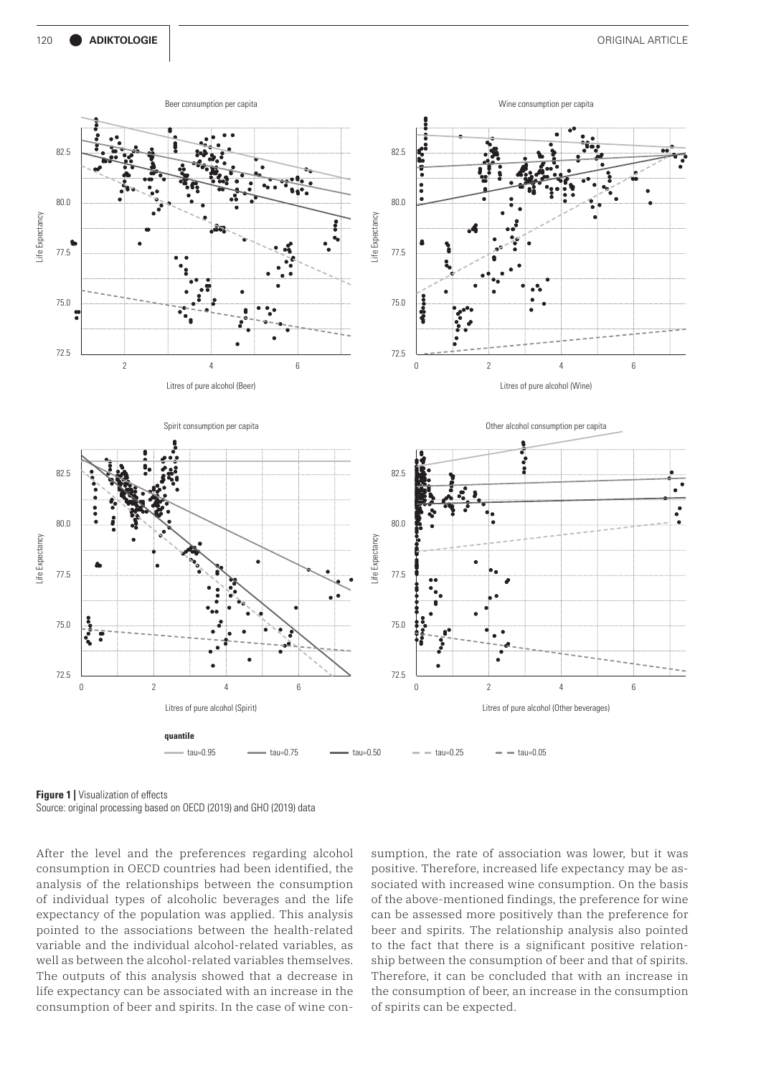

**Figure 1 | Visualization of effects** Source: original processing based on OECD (2019) and GHO (2019) data

After the level and the preferences regarding alcohol consumption in OECD countries had been identified, the analysis of the relationships between the consumption of individual types of alcoholic beverages and the life expectancy of the population was applied. This analysis pointed to the associations between the health-related variable and the individual alcohol-related variables, as well as between the alcohol-related variables themselves. The outputs of this analysis showed that a decrease in life expectancy can be associated with an increase in the consumption of beer and spirits. In the case of wine consumption, the rate of association was lower, but it was positive. Therefore, increased life expectancy may be associated with increased wine consumption. On the basis of the above-mentioned findings, the preference for wine can be assessed more positively than the preference for beer and spirits. The relationship analysis also pointed to the fact that there is a significant positive relationship between the consumption of beer and that of spirits. Therefore, it can be concluded that with an increase in the consumption of beer, an increase in the consumption of spirits can be expected.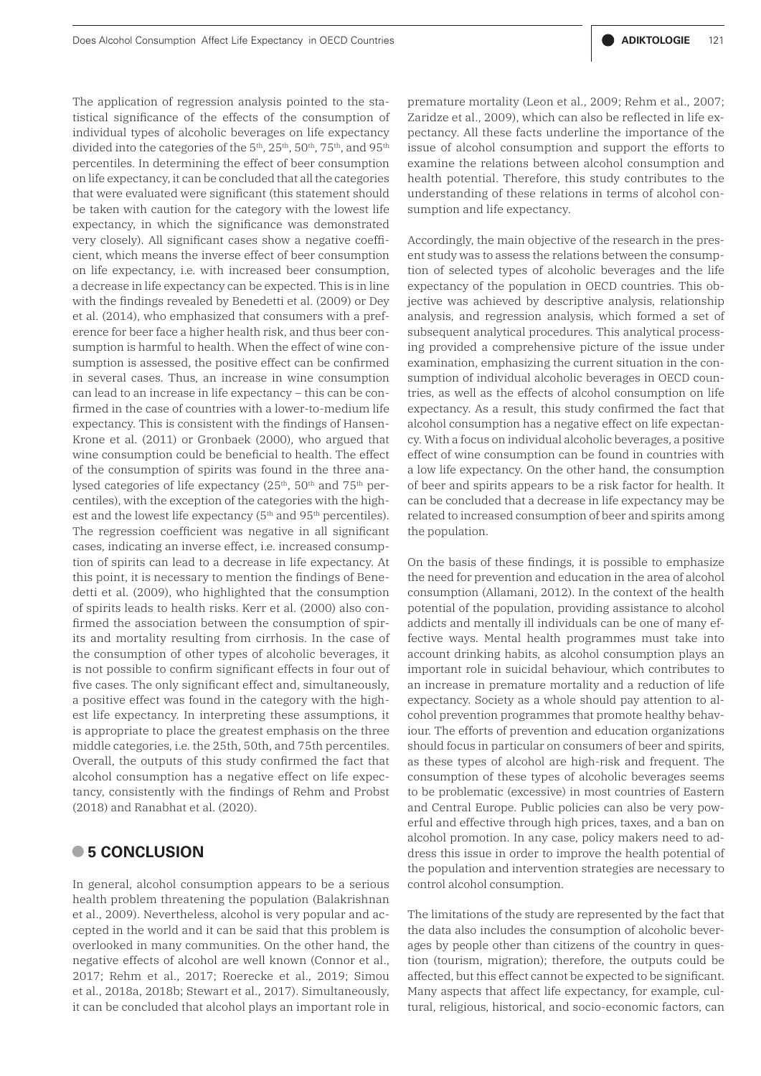The application of regression analysis pointed to the statistical significance of the effects of the consumption of individual types of alcoholic beverages on life expectancy divided into the categories of the 5<sup>th</sup>, 25<sup>th</sup>, 50<sup>th</sup>, 75<sup>th</sup>, and 95<sup>th</sup> percentiles. In determining the effect of beer consumption on life expectancy, it can be concluded that all the categories that were evaluated were significant (this statement should be taken with caution for the category with the lowest life expectancy, in which the significance was demonstrated very closely). All significant cases show a negative coefficient, which means the inverse effect of beer consumption on life expectancy, i.e. with increased beer consumption, a decrease in life expectancy can be expected. This is in line with the findings revealed by Benedetti et al. (2009) or Dey et al. (2014), who emphasized that consumers with a preference for beer face a higher health risk, and thus beer consumption is harmful to health. When the effect of wine consumption is assessed, the positive effect can be confirmed in several cases. Thus, an increase in wine consumption can lead to an increase in life expectancy – this can be confirmed in the case of countries with a lower-to-medium life expectancy. This is consistent with the findings of Hansen-Krone et al. (2011) or Gronbaek (2000), who argued that wine consumption could be beneficial to health. The effect of the consumption of spirits was found in the three analysed categories of life expectancy (25<sup>th</sup>, 50<sup>th</sup> and 75<sup>th</sup> percentiles), with the exception of the categories with the highest and the lowest life expectancy (5<sup>th</sup> and 95<sup>th</sup> percentiles). The regression coefficient was negative in all significant cases, indicating an inverse effect, i.e. increased consumption of spirits can lead to a decrease in life expectancy. At this point, it is necessary to mention the findings of Benedetti et al. (2009), who highlighted that the consumption of spirits leads to health risks. Kerr et al. (2000) also confirmed the association between the consumption of spirits and mortality resulting from cirrhosis. In the case of the consumption of other types of alcoholic beverages, it is not possible to confirm significant effects in four out of five cases. The only significant effect and, simultaneously, a positive effect was found in the category with the highest life expectancy. In interpreting these assumptions, it is appropriate to place the greatest emphasis on the three middle categories, i.e. the 25th, 50th, and 75th percentiles. Overall, the outputs of this study confirmed the fact that alcohol consumption has a negative effect on life expectancy, consistently with the findings of Rehm and Probst (2018) and Ranabhat et al. (2020).

#### **• 5 CONCLUSION**

In general, alcohol consumption appears to be a serious health problem threatening the population (Balakrishnan et al., 2009). Nevertheless, alcohol is very popular and accepted in the world and it can be said that this problem is overlooked in many communities. On the other hand, the negative effects of alcohol are well known (Connor et al., 2017; Rehm et al., 2017; Roerecke et al., 2019; Simou et al., 2018a, 2018b; Stewart et al., 2017). Simultaneously, it can be concluded that alcohol plays an important role in

premature mortality (Leon et al., 2009; Rehm et al., 2007; Zaridze et al., 2009), which can also be reflected in life expectancy. All these facts underline the importance of the issue of alcohol consumption and support the efforts to examine the relations between alcohol consumption and health potential. Therefore, this study contributes to the understanding of these relations in terms of alcohol consumption and life expectancy.

Accordingly, the main objective of the research in the present study was to assess the relations between the consumption of selected types of alcoholic beverages and the life expectancy of the population in OECD countries. This objective was achieved by descriptive analysis, relationship analysis, and regression analysis, which formed a set of subsequent analytical procedures. This analytical processing provided a comprehensive picture of the issue under examination, emphasizing the current situation in the consumption of individual alcoholic beverages in OECD countries, as well as the effects of alcohol consumption on life expectancy. As a result, this study confirmed the fact that alcohol consumption has a negative effect on life expectancy. With a focus on individual alcoholic beverages, a positive effect of wine consumption can be found in countries with a low life expectancy. On the other hand, the consumption of beer and spirits appears to be a risk factor for health. It can be concluded that a decrease in life expectancy may be related to increased consumption of beer and spirits among the population.

On the basis of these findings, it is possible to emphasize the need for prevention and education in the area of alcohol consumption (Allamani, 2012). In the context of the health potential of the population, providing assistance to alcohol addicts and mentally ill individuals can be one of many effective ways. Mental health programmes must take into account drinking habits, as alcohol consumption plays an important role in suicidal behaviour, which contributes to an increase in premature mortality and a reduction of life expectancy. Society as a whole should pay attention to alcohol prevention programmes that promote healthy behaviour. The efforts of prevention and education organizations should focus in particular on consumers of beer and spirits, as these types of alcohol are high-risk and frequent. The consumption of these types of alcoholic beverages seems to be problematic (excessive) in most countries of Eastern and Central Europe. Public policies can also be very powerful and effective through high prices, taxes, and a ban on alcohol promotion. In any case, policy makers need to address this issue in order to improve the health potential of the population and intervention strategies are necessary to control alcohol consumption.

The limitations of the study are represented by the fact that the data also includes the consumption of alcoholic beverages by people other than citizens of the country in question (tourism, migration); therefore, the outputs could be affected, but this effect cannot be expected to be significant. Many aspects that affect life expectancy, for example, cultural, religious, historical, and socio-economic factors, can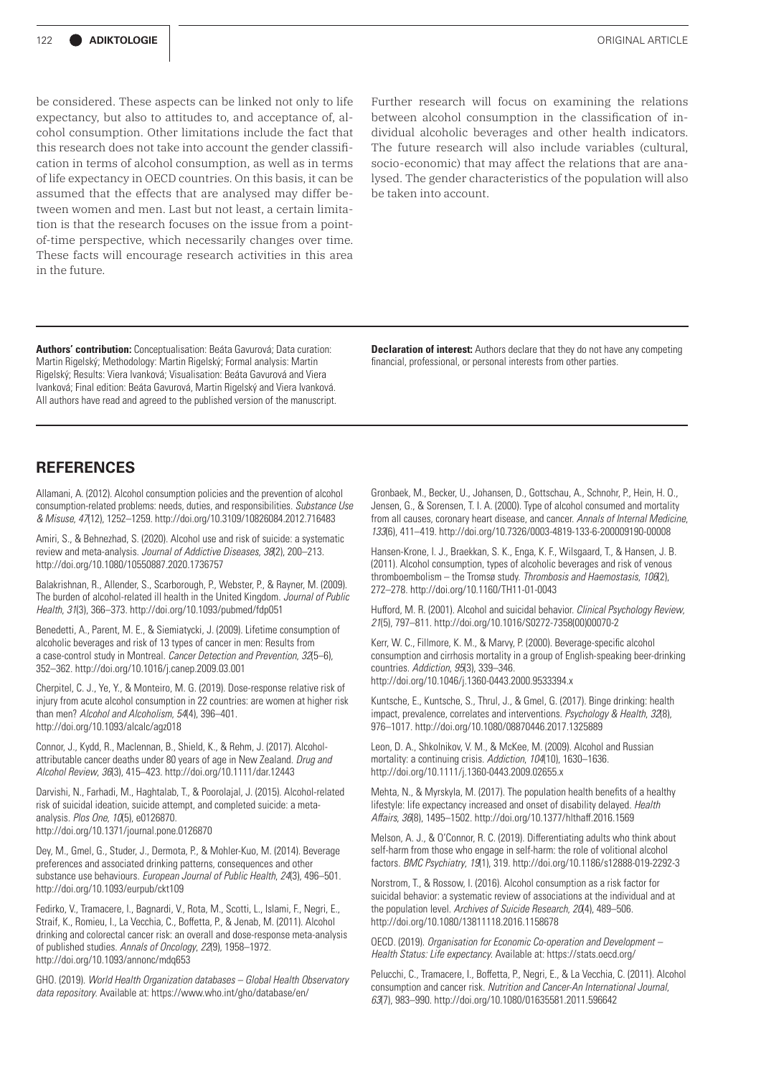be considered. These aspects can be linked not only to life expectancy, but also to attitudes to, and acceptance of, alcohol consumption. Other limitations include the fact that this research does not take into account the gender classification in terms of alcohol consumption, as well as in terms of life expectancy in OECD countries. On this basis, it can be assumed that the effects that are analysed may differ between women and men. Last but not least, a certain limitation is that the research focuses on the issue from a pointof-time perspective, which necessarily changes over time. These facts will encourage research activities in this area in the future.

Further research will focus on examining the relations between alcohol consumption in the classification of individual alcoholic beverages and other health indicators. The future research will also include variables (cultural, socio-economic) that may affect the relations that are analysed. The gender characteristics of the population will also be taken into account.

**Authors' contribution:** Conceptualisation: Beáta Gavurová; Data curation: Martin Rigelský; Methodology: Martin Rigelský; Formal analysis: Martin Rigelský; Results: Viera Ivanková; Visualisation: Beáta Gavurová and Viera Ivanková; Final edition: Beáta Gavurová, Martin Rigelský and Viera Ivanková. All authors have read and agreed to the published version of the manuscript. **Declaration of interest:** Authors declare that they do not have any competing financial, professional, or personal interests from other parties.

#### **REFERENCES**

Allamani, A. (2012). Alcohol consumption policies and the prevention of alcohol consumption-related problems: needs, duties, and responsibilities. *Substance Use & Misuse*, *47*(12), 1252–1259. http://doi.org/10.3109/10826084.2012.716483

Amiri, S., & Behnezhad, S. (2020). Alcohol use and risk of suicide: a systematic review and meta-analysis. *Journal of Addictive Diseases*, *38*(2), 200–213. http://doi.org/10.1080/10550887.2020.1736757

Balakrishnan, R., Allender, S., Scarborough, P., Webster, P., & Rayner, M. (2009). The burden of alcohol-related ill health in the United Kingdom. *Journal of Public Health*, *31*(3), 366–373. http://doi.org/10.1093/pubmed/fdp051

Benedetti, A., Parent, M. E., & Siemiatycki, J. (2009). Lifetime consumption of alcoholic beverages and risk of 13 types of cancer in men: Results from a case-control study in Montreal. *Cancer Detection and Prevention*, *32*(5–6), 352–362. http://doi.org/10.1016/j.canep.2009.03.001

Cherpitel, C. J., Ye, Y., & Monteiro, M. G. (2019). Dose-response relative risk of injury from acute alcohol consumption in 22 countries: are women at higher risk than men? *Alcohol and Alcoholism*, *54*(4), 396–401. http://doi.org/10.1093/alcalc/agz018

Connor, J., Kydd, R., Maclennan, B., Shield, K., & Rehm, J. (2017). Alcoholattributable cancer deaths under 80 years of age in New Zealand. *Drug and Alcohol Review*, *36*(3), 415–423. http://doi.org/10.1111/dar.12443

Darvishi, N., Farhadi, M., Haghtalab, T., & Poorolajal, J. (2015). Alcohol-related risk of suicidal ideation, suicide attempt, and completed suicide: a metaanalysis. *Plos One*, *10*(5), e0126870. http://doi.org/10.1371/journal.pone.0126870

Dey, M., Gmel, G., Studer, J., Dermota, P., & Mohler-Kuo, M. (2014). Beverage preferences and associated drinking patterns, consequences and other substance use behaviours. *European Journal of Public Health*, *24*(3), 496–501. http://doi.org/10.1093/eurpub/ckt109

Fedirko, V., Tramacere, I., Bagnardi, V., Rota, M., Scotti, L., Islami, F., Negri, E., Straif, K., Romieu, I., La Vecchia, C., Boffetta, P., & Jenab, M. (2011). Alcohol drinking and colorectal cancer risk: an overall and dose-response meta-analysis of published studies. *Annals of Oncology*, *22*(9), 1958–1972. http://doi.org/10.1093/annonc/mdq653

GHO. (2019). *World Health Organization databases – Global Health Observatory data repository*. Available at: https://www.who.int/gho/database/en/

Gronbaek, M., Becker, U., Johansen, D., Gottschau, A., Schnohr, P., Hein, H. O., Jensen, G., & Sorensen, T. I. A. (2000). Type of alcohol consumed and mortality from all causes, coronary heart disease, and cancer. *Annals of Internal Medicine*, *133*(6), 411–419. http://doi.org/10.7326/0003-4819-133-6-200009190-00008

Hansen-Krone, I. J., Braekkan, S. K., Enga, K. F., Wilsgaard, T., & Hansen, J. B. (2011). Alcohol consumption, types of alcoholic beverages and risk of venous thromboembolism – the Tromsø study. *Thrombosis and Haemostasis*, *106*(2), 272–278. http://doi.org/10.1160/TH11-01-0043

Hufford, M. R. (2001). Alcohol and suicidal behavior. *Clinical Psychology Review*, *21*(5), 797–811. http://doi.org/10.1016/S0272-7358(00)00070-2

Kerr, W. C., Fillmore, K. M., & Marvy, P. (2000). Beverage-specific alcohol consumption and cirrhosis mortality in a group of English-speaking beer-drinking countries. *Addiction*, *95*(3), 339–346. http://doi.org/10.1046/j.1360-0443.2000.9533394.x

Kuntsche, E., Kuntsche, S., Thrul, J., & Gmel, G. (2017). Binge drinking: health impact, prevalence, correlates and interventions. *Psychology & Health*, *32*(8), 976–1017. http://doi.org/10.1080/08870446.2017.1325889

Leon, D. A., Shkolnikov, V. M., & McKee, M. (2009). Alcohol and Russian mortality: a continuing crisis. *Addiction*, *104*(10), 1630–1636. http://doi.org/10.1111/j.1360-0443.2009.02655.x

Mehta, N., & Myrskyla, M. (2017). The population health benefits of a healthy lifestyle: life expectancy increased and onset of disability delayed. *Health Affairs*, *36*(8), 1495–1502. http://doi.org/10.1377/hlthaff.2016.1569

Melson, A. J., & O'Connor, R. C. (2019). Differentiating adults who think about self-harm from those who engage in self-harm: the role of volitional alcohol factors. *BMC Psychiatry*, *19*(1), 319. http://doi.org/10.1186/s12888-019-2292-3

Norstrom, T., & Rossow, I. (2016). Alcohol consumption as a risk factor for suicidal behavior: a systematic review of associations at the individual and at the population level. *Archives of Suicide Research*, *20*(4), 489–506. http://doi.org/10.1080/13811118.2016.1158678

OECD. (2019). *Organisation for Economic Co-operation and Development – Health Status: Life expectancy*. Available at: https://stats.oecd.org/

Pelucchi, C., Tramacere, I., Boffetta, P., Negri, E., & La Vecchia, C. (2011). Alcohol consumption and cancer risk. *Nutrition and Cancer-An International Journal*, *63*(7), 983–990. http://doi.org/10.1080/01635581.2011.596642